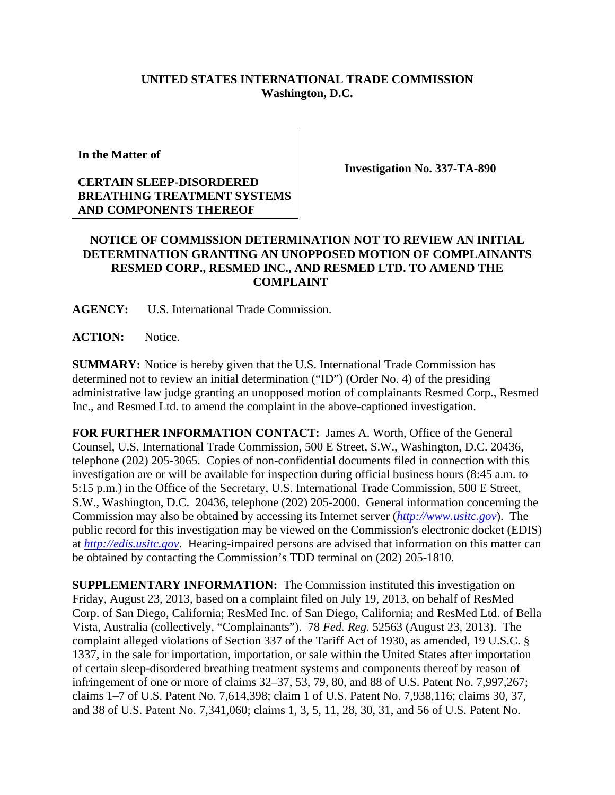## **UNITED STATES INTERNATIONAL TRADE COMMISSION Washington, D.C.**

**In the Matter of** 

## **CERTAIN SLEEP-DISORDERED BREATHING TREATMENT SYSTEMS AND COMPONENTS THEREOF**

**Investigation No. 337-TA-890** 

## **NOTICE OF COMMISSION DETERMINATION NOT TO REVIEW AN INITIAL DETERMINATION GRANTING AN UNOPPOSED MOTION OF COMPLAINANTS RESMED CORP., RESMED INC., AND RESMED LTD. TO AMEND THE COMPLAINT**

**AGENCY:** U.S. International Trade Commission.

**ACTION:** Notice.

**SUMMARY:** Notice is hereby given that the U.S. International Trade Commission has determined not to review an initial determination ("ID") (Order No. 4) of the presiding administrative law judge granting an unopposed motion of complainants Resmed Corp., Resmed Inc., and Resmed Ltd. to amend the complaint in the above-captioned investigation.

**FOR FURTHER INFORMATION CONTACT:** James A. Worth, Office of the General Counsel, U.S. International Trade Commission, 500 E Street, S.W., Washington, D.C. 20436, telephone (202) 205-3065. Copies of non-confidential documents filed in connection with this investigation are or will be available for inspection during official business hours (8:45 a.m. to 5:15 p.m.) in the Office of the Secretary, U.S. International Trade Commission, 500 E Street, S.W., Washington, D.C. 20436, telephone (202) 205-2000. General information concerning the Commission may also be obtained by accessing its Internet server (*http://www.usitc.gov*). The public record for this investigation may be viewed on the Commission's electronic docket (EDIS) at *http://edis.usitc.gov*. Hearing-impaired persons are advised that information on this matter can be obtained by contacting the Commission's TDD terminal on (202) 205-1810.

**SUPPLEMENTARY INFORMATION:** The Commission instituted this investigation on Friday, August 23, 2013, based on a complaint filed on July 19, 2013, on behalf of ResMed Corp. of San Diego, California; ResMed Inc. of San Diego, California; and ResMed Ltd. of Bella Vista, Australia (collectively, "Complainants"). 78 *Fed. Reg.* 52563 (August 23, 2013). The complaint alleged violations of Section 337 of the Tariff Act of 1930, as amended, 19 U.S.C. § 1337, in the sale for importation, importation, or sale within the United States after importation of certain sleep-disordered breathing treatment systems and components thereof by reason of infringement of one or more of claims 32–37, 53, 79, 80, and 88 of U.S. Patent No. 7,997,267; claims 1–7 of U.S. Patent No. 7,614,398; claim 1 of U.S. Patent No. 7,938,116; claims 30, 37, and 38 of U.S. Patent No. 7,341,060; claims 1, 3, 5, 11, 28, 30, 31, and 56 of U.S. Patent No.